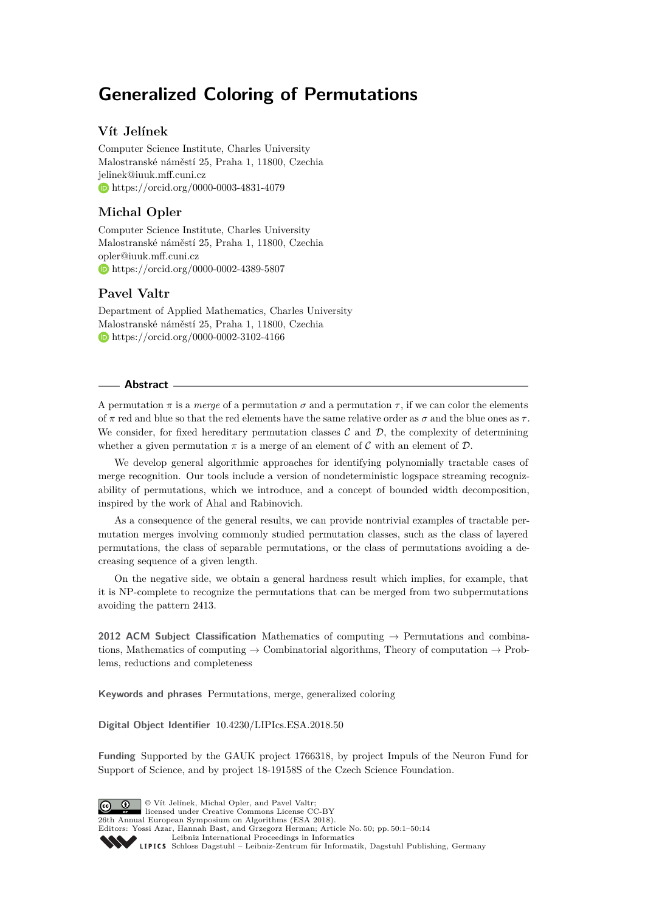# **Generalized Coloring of Permutations**

## **Vít Jelínek**

Computer Science Institute, Charles University Malostranské náměstí 25, Praha 1, 11800, Czechia [jelinek@iuuk.mff.cuni.cz](mailto:jelinek@iuuk.mff.cuni.cz) <https://orcid.org/0000-0003-4831-4079>

## **Michal Opler**

Computer Science Institute, Charles University Malostranské náměstí 25, Praha 1, 11800, Czechia [opler@iuuk.mff.cuni.cz](mailto:opler@iuuk.mff.cuni.cz) <https://orcid.org/0000-0002-4389-5807>

## **Pavel Valtr**

Department of Applied Mathematics, Charles University Malostranské náměstí 25, Praha 1, 11800, Czechia <https://orcid.org/0000-0002-3102-4166>

## **Abstract**

A permutation  $\pi$  is a *merge* of a permutation  $\sigma$  and a permutation  $\tau$ , if we can color the elements of  $\pi$  red and blue so that the red elements have the same relative order as  $\sigma$  and the blue ones as  $\tau$ . We consider, for fixed hereditary permutation classes  $\mathcal C$  and  $\mathcal D$ , the complexity of determining whether a given permutation  $\pi$  is a merge of an element of C with an element of D.

We develop general algorithmic approaches for identifying polynomially tractable cases of merge recognition. Our tools include a version of nondeterministic logspace streaming recognizability of permutations, which we introduce, and a concept of bounded width decomposition, inspired by the work of Ahal and Rabinovich.

As a consequence of the general results, we can provide nontrivial examples of tractable permutation merges involving commonly studied permutation classes, such as the class of layered permutations, the class of separable permutations, or the class of permutations avoiding a decreasing sequence of a given length.

On the negative side, we obtain a general hardness result which implies, for example, that it is NP-complete to recognize the permutations that can be merged from two subpermutations avoiding the pattern 2413.

**2012 ACM Subject Classification** Mathematics of computing → Permutations and combinations, Mathematics of computing  $\rightarrow$  Combinatorial algorithms, Theory of computation  $\rightarrow$  Problems, reductions and completeness

**Keywords and phrases** Permutations, merge, generalized coloring

**Digital Object Identifier** [10.4230/LIPIcs.ESA.2018.50](http://dx.doi.org/10.4230/LIPIcs.ESA.2018.50)

**Funding** Supported by the GAUK project 1766318, by project Impuls of the Neuron Fund for Support of Science, and by project 18-19158S of the Czech Science Foundation.

© Vít Jelínek, Michal Opler, and Pavel Valtr;  $\boxed{6}$  0 licensed under Creative Commons License CC-BY 26th Annual European Symposium on Algorithms (ESA 2018). Editors: Yossi Azar, Hannah Bast, and Grzegorz Herman; Article No. 50; pp. 50:1–50[:14](#page-13-0) [Leibniz International Proceedings in Informatics](http://www.dagstuhl.de/lipics/) Leibniz International Froceedings in miormatics<br>
LIPICS [Schloss Dagstuhl – Leibniz-Zentrum für Informatik, Dagstuhl Publishing, Germany](http://www.dagstuhl.de)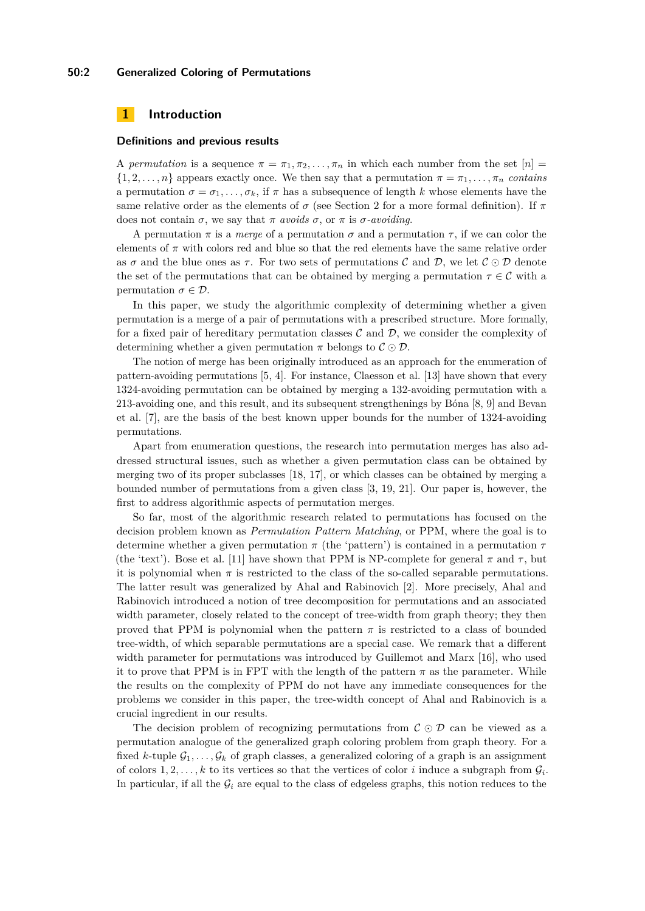#### **50:2 Generalized Coloring of Permutations**

## **1 Introduction**

#### **Definitions and previous results**

A *permutation* is a sequence  $\pi = \pi_1, \pi_2, \ldots, \pi_n$  in which each number from the set  $[n] =$  $\{1, 2, \ldots, n\}$  appears exactly once. We then say that a permutation  $\pi = \pi_1, \ldots, \pi_n$  *contains* a permutation  $\sigma = \sigma_1, \ldots, \sigma_k$ , if  $\pi$  has a subsequence of length  $k$  whose elements have the same relative order as the elements of  $\sigma$  (see Section [2](#page-2-0) for a more formal definition). If  $\pi$ does not contain  $\sigma$ , we say that  $\pi$  *avoids*  $\sigma$ , or  $\pi$  is  $\sigma$ -*avoiding*.

A permutation  $\pi$  is a *merge* of a permutation  $\sigma$  and a permutation  $\tau$ , if we can color the elements of  $\pi$  with colors red and blue so that the red elements have the same relative order as  $\sigma$  and the blue ones as  $\tau$ . For two sets of permutations C and D, we let  $\mathcal{C} \odot \mathcal{D}$  denote the set of the permutations that can be obtained by merging a permutation  $\tau \in \mathcal{C}$  with a permutation  $\sigma \in \mathcal{D}$ .

In this paper, we study the algorithmic complexity of determining whether a given permutation is a merge of a pair of permutations with a prescribed structure. More formally, for a fixed pair of hereditary permutation classes  $\mathcal C$  and  $\mathcal D$ , we consider the complexity of determining whether a given permutation  $\pi$  belongs to  $\mathcal{C} \odot \mathcal{D}$ .

The notion of merge has been originally introduced as an approach for the enumeration of pattern-avoiding permutations [\[5,](#page-12-0) [4\]](#page-12-1). For instance, Claesson et al. [\[13\]](#page-12-2) have shown that every 1324-avoiding permutation can be obtained by merging a 132-avoiding permutation with a 213-avoiding one, and this result, and its subsequent strengthenings by Bóna [\[8,](#page-12-3) [9\]](#page-12-4) and Bevan et al. [\[7\]](#page-12-5), are the basis of the best known upper bounds for the number of 1324-avoiding permutations.

Apart from enumeration questions, the research into permutation merges has also addressed structural issues, such as whether a given permutation class can be obtained by merging two of its proper subclasses [\[18,](#page-13-1) [17\]](#page-13-2), or which classes can be obtained by merging a bounded number of permutations from a given class [\[3,](#page-12-6) [19,](#page-13-3) [21\]](#page-13-4). Our paper is, however, the first to address algorithmic aspects of permutation merges.

So far, most of the algorithmic research related to permutations has focused on the decision problem known as *Permutation Pattern Matching*, or PPM, where the goal is to determine whether a given permutation *π* (the 'pattern') is contained in a permutation *τ* (the 'text'). Bose et al. [\[11\]](#page-12-7) have shown that PPM is NP-complete for general  $\pi$  and  $\tau$ , but it is polynomial when  $\pi$  is restricted to the class of the so-called separable permutations. The latter result was generalized by Ahal and Rabinovich [\[2\]](#page-12-8). More precisely, Ahal and Rabinovich introduced a notion of tree decomposition for permutations and an associated width parameter, closely related to the concept of tree-width from graph theory; they then proved that PPM is polynomial when the pattern  $\pi$  is restricted to a class of bounded tree-width, of which separable permutations are a special case. We remark that a different width parameter for permutations was introduced by Guillemot and Marx [\[16\]](#page-12-9), who used it to prove that PPM is in FPT with the length of the pattern  $\pi$  as the parameter. While the results on the complexity of PPM do not have any immediate consequences for the problems we consider in this paper, the tree-width concept of Ahal and Rabinovich is a crucial ingredient in our results.

The decision problem of recognizing permutations from  $\mathcal{C} \odot \mathcal{D}$  can be viewed as a permutation analogue of the generalized graph coloring problem from graph theory. For a fixed *k*-tuple  $\mathcal{G}_1, \ldots, \mathcal{G}_k$  of graph classes, a generalized coloring of a graph is an assignment of colors  $1, 2, \ldots, k$  to its vertices so that the vertices of color *i* induce a subgraph from  $\mathcal{G}_i$ . In particular, if all the  $G_i$  are equal to the class of edgeless graphs, this notion reduces to the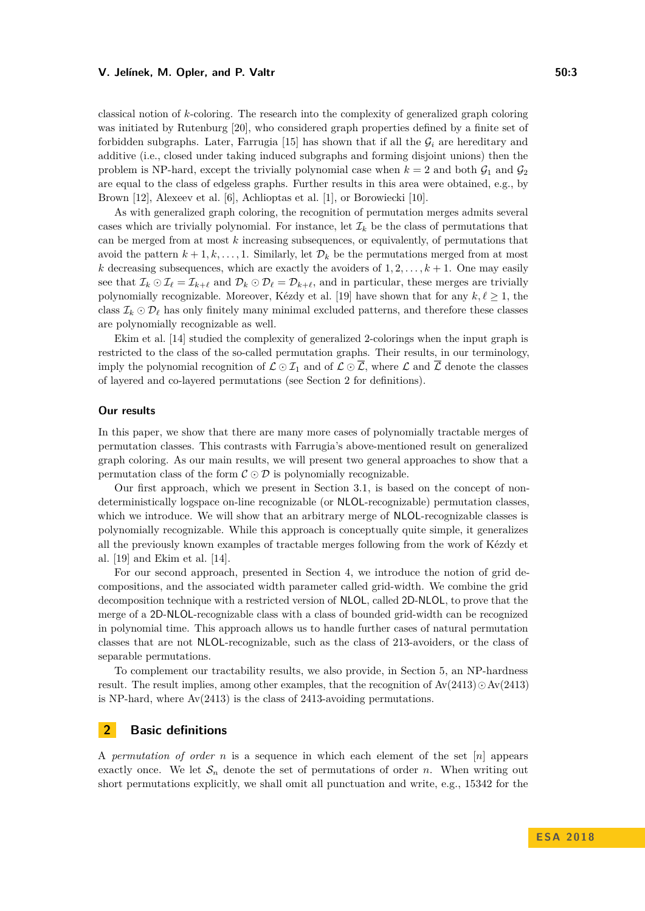classical notion of *k*-coloring. The research into the complexity of generalized graph coloring was initiated by Rutenburg [\[20\]](#page-13-5), who considered graph properties defined by a finite set of forbidden subgraphs. Later, Farrugia  $[15]$  has shown that if all the  $\mathcal{G}_i$  are hereditary and additive (i.e., closed under taking induced subgraphs and forming disjoint unions) then the problem is NP-hard, except the trivially polynomial case when  $k = 2$  and both  $\mathcal{G}_1$  and  $\mathcal{G}_2$ are equal to the class of edgeless graphs. Further results in this area were obtained, e.g., by Brown [\[12\]](#page-12-11), Alexeev et al. [\[6\]](#page-12-12), Achlioptas et al. [\[1\]](#page-12-13), or Borowiecki [\[10\]](#page-12-14).

As with generalized graph coloring, the recognition of permutation merges admits several cases which are trivially polynomial. For instance, let  $\mathcal{I}_k$  be the class of permutations that can be merged from at most *k* increasing subsequences, or equivalently, of permutations that avoid the pattern  $k + 1, k, \ldots, 1$ . Similarly, let  $\mathcal{D}_k$  be the permutations merged from at most *k* decreasing subsequences, which are exactly the avoiders of  $1, 2, \ldots, k+1$ . One may easily see that  $\mathcal{I}_k \odot \mathcal{I}_\ell = \mathcal{I}_{k+\ell}$  and  $\mathcal{D}_k \odot \mathcal{D}_\ell = \mathcal{D}_{k+\ell}$ , and in particular, these merges are trivially polynomially recognizable. Moreover, Kézdy et al. [\[19\]](#page-13-3) have shown that for any  $k, \ell \geq 1$ , the class  $\mathcal{I}_k \odot \mathcal{D}_\ell$  has only finitely many minimal excluded patterns, and therefore these classes are polynomially recognizable as well.

Ekim et al. [\[14\]](#page-12-15) studied the complexity of generalized 2-colorings when the input graph is restricted to the class of the so-called permutation graphs. Their results, in our terminology, imply the polynomial recognition of  $\mathcal{L} \odot \mathcal{I}_1$  and of  $\mathcal{L} \odot \overline{\mathcal{L}}$ , where  $\mathcal{L}$  and  $\overline{\mathcal{L}}$  denote the classes of layered and co-layered permutations (see Section [2](#page-2-0) for definitions).

#### **Our results**

In this paper, we show that there are many more cases of polynomially tractable merges of permutation classes. This contrasts with Farrugia's above-mentioned result on generalized graph coloring. As our main results, we will present two general approaches to show that a permutation class of the form  $C \odot D$  is polynomially recognizable.

Our first approach, which we present in Section [3.1,](#page-4-0) is based on the concept of nondeterministically logspace on-line recognizable (or NLOL-recognizable) permutation classes, which we introduce. We will show that an arbitrary merge of **NLOL**-recognizable classes is polynomially recognizable. While this approach is conceptually quite simple, it generalizes all the previously known examples of tractable merges following from the work of Kézdy et al. [\[19\]](#page-13-3) and Ekim et al. [\[14\]](#page-12-15).

For our second approach, presented in Section [4,](#page-7-0) we introduce the notion of grid decompositions, and the associated width parameter called grid-width. We combine the grid decomposition technique with a restricted version of NLOL, called 2D-NLOL, to prove that the merge of a 2D-NLOL-recognizable class with a class of bounded grid-width can be recognized in polynomial time. This approach allows us to handle further cases of natural permutation classes that are not NLOL-recognizable, such as the class of 213-avoiders, or the class of separable permutations.

To complement our tractability results, we also provide, in Section [5,](#page-11-0) an NP-hardness result. The result implies, among other examples, that the recognition of  $Av(2413) \odot Av(2413)$ is NP-hard, where  $Av(2413)$  is the class of 2413-avoiding permutations.

## <span id="page-2-0"></span>**2 Basic definitions**

A *permutation of order n* is a sequence in which each element of the set [*n*] appears exactly once. We let  $S_n$  denote the set of permutations of order *n*. When writing out short permutations explicitly, we shall omit all punctuation and write, e.g., 15342 for the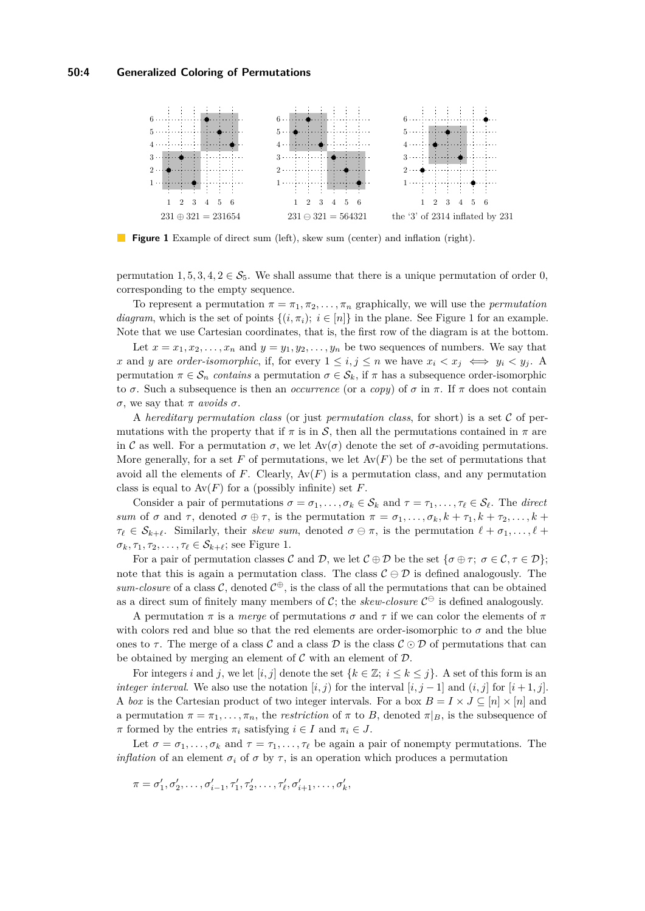<span id="page-3-0"></span>

**Figure 1** Example of direct sum (left), skew sum (center) and inflation (right).

permutation  $1, 5, 3, 4, 2 \in S_5$ . We shall assume that there is a unique permutation of order 0, corresponding to the empty sequence.

To represent a permutation  $\pi = \pi_1, \pi_2, \ldots, \pi_n$  graphically, we will use the *permutation diagram*, which is the set of points  $\{(i, \pi_i); i \in [n]\}$  in the plane. See Figure [1](#page-3-0) for an example. Note that we use Cartesian coordinates, that is, the first row of the diagram is at the bottom.

Let  $x = x_1, x_2, \ldots, x_n$  and  $y = y_1, y_2, \ldots, y_n$  be two sequences of numbers. We say that *x* and *y* are *order-isomorphic*, if, for every  $1 \leq i, j \leq n$  we have  $x_i \leq x_j \iff y_i \leq y_j$ . permutation  $\pi \in S_n$  *contains* a permutation  $\sigma \in S_k$ , if  $\pi$  has a subsequence order-isomorphic to *σ*. Such a subsequence is then an *occurrence* (or a *copy*) of *σ* in *π*. If *π* does not contain *σ*, we say that *π avoids σ*.

A *hereditary permutation class* (or just *permutation class*, for short) is a set C of permutations with the property that if  $\pi$  is in  $\mathcal{S}$ , then all the permutations contained in  $\pi$  are in C as well. For a permutation  $\sigma$ , we let  $Av(\sigma)$  denote the set of  $\sigma$ -avoiding permutations. More generally, for a set  $F$  of permutations, we let  $Av(F)$  be the set of permutations that avoid all the elements of  $F$ . Clearly,  $Av(F)$  is a permutation class, and any permutation class is equal to  $Av(F)$  for a (possibly infinite) set *F*.

Consider a pair of permutations  $\sigma = \sigma_1, \ldots, \sigma_k \in \mathcal{S}_k$  and  $\tau = \tau_1, \ldots, \tau_\ell \in \mathcal{S}_\ell$ . The *direct sum* of  $\sigma$  and  $\tau$ , denoted  $\sigma \oplus \tau$ , is the permutation  $\pi = \sigma_1, \ldots, \sigma_k, k + \tau_1, k + \tau_2, \ldots, k + \tau_k$  $\tau_{\ell} \in S_{k+\ell}$ . Similarly, their *skew sum*, denoted  $\sigma \ominus \pi$ , is the permutation  $\ell + \sigma_1, \ldots, \ell + \sigma_k$  $\sigma_k, \tau_1, \tau_2, \ldots, \tau_\ell \in \mathcal{S}_{k+\ell}$ ; see Figure [1.](#page-3-0)

For a pair of permutation classes C and D, we let  $C \oplus D$  be the set  $\{\sigma \oplus \tau, \sigma \in C, \tau \in D\}$ ; note that this is again a permutation class. The class  $\mathcal{C} \ominus \mathcal{D}$  is defined analogously. The *sum-closure* of a class  $\mathcal{C}$ , denoted  $\mathcal{C}^{\oplus}$ , is the class of all the permutations that can be obtained as a direct sum of finitely many members of C; the *skew-closure*  $C^{\ominus}$  is defined analogously.

A permutation  $\pi$  is a *merge* of permutations  $\sigma$  and  $\tau$  if we can color the elements of  $\pi$ with colors red and blue so that the red elements are order-isomorphic to  $\sigma$  and the blue ones to  $\tau$ . The merge of a class  $\mathcal C$  and a class  $\mathcal D$  is the class  $\mathcal C \odot \mathcal D$  of permutations that can be obtained by merging an element of  $C$  with an element of  $D$ .

For integers *i* and *j*, we let  $[i, j]$  denote the set  $\{k \in \mathbb{Z}; i \leq k \leq j\}$ . A set of this form is an *integer interval.* We also use the notation  $[i, j]$  for the interval  $[i, j - 1]$  and  $(i, j]$  for  $[i + 1, j]$ . A *box* is the Cartesian product of two integer intervals. For a box  $B = I \times J \subseteq [n] \times [n]$  and a permutation  $\pi = \pi_1, \ldots, \pi_n$ , the *restriction* of  $\pi$  to *B*, denoted  $\pi|_B$ , is the subsequence of *π* formed by the entries  $\pi_i$  satisfying  $i \in I$  and  $\pi_i \in J$ .

Let  $\sigma = \sigma_1, \ldots, \sigma_k$  and  $\tau = \tau_1, \ldots, \tau_\ell$  be again a pair of nonempty permutations. The *inflation* of an element  $\sigma_i$  of  $\sigma$  by  $\tau$ , is an operation which produces a permutation

$$
\pi = \sigma'_1, \sigma'_2, \ldots, \sigma'_{i-1}, \tau'_1, \tau'_2, \ldots, \tau'_\ell, \sigma'_{i+1}, \ldots, \sigma'_k,
$$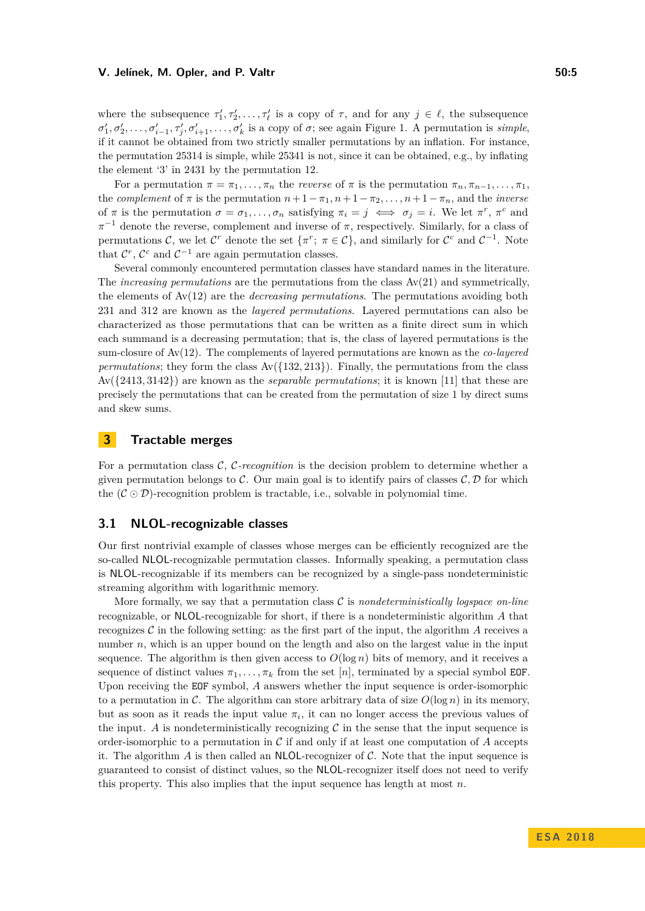where the subsequence  $\tau'_1, \tau'_2, \ldots, \tau'_\ell$  is a copy of  $\tau$ , and for any  $j \in \ell$ , the subsequence  $\sigma'_1, \sigma'_2, \ldots, \sigma'_{i-1}, \tau'_j, \sigma'_{i+1}, \ldots, \sigma'_k$  is a copy of  $\sigma$ ; see again Figure [1.](#page-3-0) A permutation is *simple*, if it cannot be obtained from two strictly smaller permutations by an inflation. For instance, the permutation 25314 is simple, while 25341 is not, since it can be obtained, e.g., by inflating the element '3' in 2431 by the permutation 12.

For a permutation  $\pi = \pi_1, \ldots, \pi_n$  the *reverse* of  $\pi$  is the permutation  $\pi_n, \pi_{n-1}, \ldots, \pi_1$ , the *complement* of  $\pi$  is the permutation  $n + 1 - \pi_1, n + 1 - \pi_2, \ldots, n + 1 - \pi_n$ , and the *inverse* of  $\pi$  is the permutation  $\sigma = \sigma_1, \ldots, \sigma_n$  satisfying  $\pi_i = j \iff \sigma_j = i$ . We let  $\pi^r$ ,  $\pi^c$  and  $\pi^{-1}$  denote the reverse, complement and inverse of  $\pi$ , respectively. Similarly, for a class of permutations C, we let  $\mathcal{C}^r$  denote the set  $\{\pi^r; \ \pi \in \mathcal{C}\}$ , and similarly for  $\mathcal{C}^c$  and  $\mathcal{C}^{-1}$ . Note that  $\mathcal{C}^r$ ,  $\mathcal{C}^c$  and  $\mathcal{C}^{-1}$  are again permutation classes.

Several commonly encountered permutation classes have standard names in the literature. The *increasing permutations* are the permutations from the class Av(21) and symmetrically, the elements of Av(12) are the *decreasing permutations*. The permutations avoiding both 231 and 312 are known as the *layered permutations*. Layered permutations can also be characterized as those permutations that can be written as a finite direct sum in which each summand is a decreasing permutation; that is, the class of layered permutations is the sum-closure of Av(12). The complements of layered permutations are known as the *co-layered permutations*; they form the class  $Av({132, 213})$ . Finally, the permutations from the class Av({2413*,* 3142}) are known as the *separable permutations*; it is known [\[11\]](#page-12-7) that these are precisely the permutations that can be created from the permutation of size 1 by direct sums and skew sums.

## **3 Tractable merges**

For a permutation class C, C*-recognition* is the decision problem to determine whether a given permutation belongs to  $\mathcal{C}$ . Our main goal is to identify pairs of classes  $\mathcal{C}, \mathcal{D}$  for which the  $(C \odot D)$ -recognition problem is tractable, i.e., solvable in polynomial time.

#### <span id="page-4-0"></span>**3.1 NLOL-recognizable classes**

Our first nontrivial example of classes whose merges can be efficiently recognized are the so-called NLOL-recognizable permutation classes. Informally speaking, a permutation class is NLOL-recognizable if its members can be recognized by a single-pass nondeterministic streaming algorithm with logarithmic memory.

More formally, we say that a permutation class C is *nondeterministically logspace on-line* recognizable, or NLOL-recognizable for short, if there is a nondeterministic algorithm *A* that recognizes  $\mathcal C$  in the following setting: as the first part of the input, the algorithm  $\mathcal A$  receives a number *n*, which is an upper bound on the length and also on the largest value in the input sequence. The algorithm is then given access to  $O(\log n)$  bits of memory, and it receives a sequence of distinct values  $\pi_1, \ldots, \pi_k$  from the set [*n*], terminated by a special symbol EOF. Upon receiving the EOF symbol, *A* answers whether the input sequence is order-isomorphic to a permutation in C. The algorithm can store arbitrary data of size  $O(\log n)$  in its memory, but as soon as it reads the input value  $\pi_i$ , it can no longer access the previous values of the input. A is nondeterministically recognizing  $\mathcal C$  in the sense that the input sequence is order-isomorphic to a permutation in  $\mathcal C$  if and only if at least one computation of  $A$  accepts it. The algorithm  $A$  is then called an NLOL-recognizer of  $C$ . Note that the input sequence is guaranteed to consist of distinct values, so the NLOL-recognizer itself does not need to verify this property. This also implies that the input sequence has length at most *n*.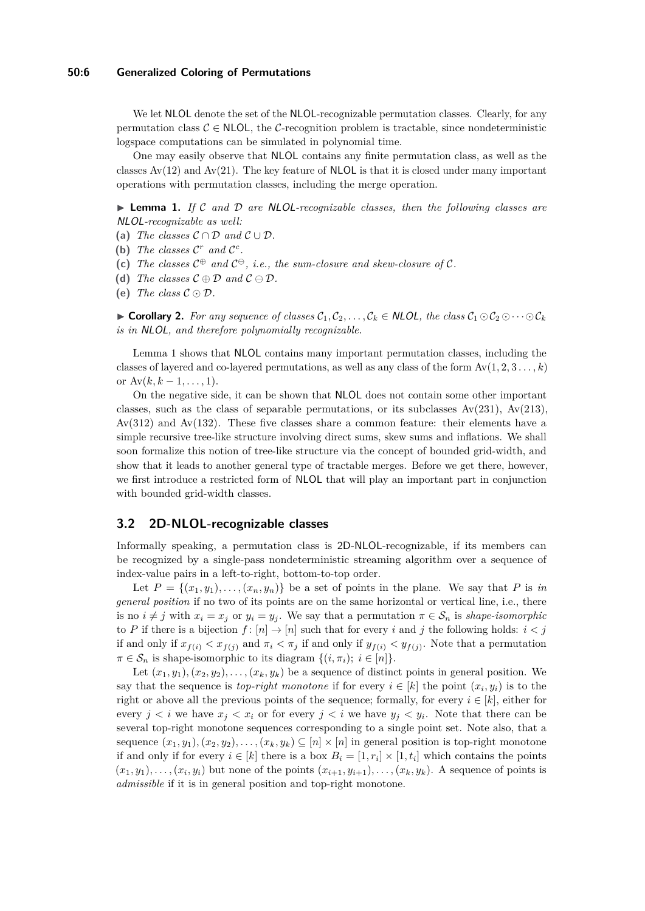#### **50:6 Generalized Coloring of Permutations**

We let NLOL denote the set of the NLOL-recognizable permutation classes. Clearly, for any permutation class  $C \in \mathsf{NLOL}$ , the C-recognition problem is tractable, since nondeterministic logspace computations can be simulated in polynomial time.

One may easily observe that NLOL contains any finite permutation class, as well as the classes  $Av(12)$  and  $Av(21)$ . The key feature of NLOL is that it is closed under many important operations with permutation classes, including the merge operation.

<span id="page-5-0"></span>► Lemma 1. If C and D are NLOL-recognizable classes, then the following classes are NLOL*-recognizable as well:*

- (a) *The classes*  $C \cap D$  *and*  $C \cup D$ *.*
- (b) The classes  $C^r$  and  $C^c$ .
- (c) The classes  $C^{\oplus}$  and  $C^{\ominus}$ , *i.e.*, the sum-closure and skew-closure of C.
- **(d)** *The classes*  $C \oplus D$  *and*  $C \ominus D$ *.*
- (e) *The class*  $C \odot D$ *.*

► **Corollary 2.** For any sequence of classes  $C_1, C_2, \ldots, C_k \in \mathsf{NLOL}$ , the class  $C_1 \odot C_2 \odot \cdots \odot C_k$ *is in* NLOL*, and therefore polynomially recognizable.*

Lemma [1](#page-5-0) shows that NLOL contains many important permutation classes, including the classes of layered and co-layered permutations, as well as any class of the form  $Av(1, 2, 3, \ldots, k)$ or  $Av(k, k-1, \ldots, 1)$ .

On the negative side, it can be shown that NLOL does not contain some other important classes, such as the class of separable permutations, or its subclasses  $Av(231)$ ,  $Av(213)$ , Av(312) and Av(132). These five classes share a common feature: their elements have a simple recursive tree-like structure involving direct sums, skew sums and inflations. We shall soon formalize this notion of tree-like structure via the concept of bounded grid-width, and show that it leads to another general type of tractable merges. Before we get there, however, we first introduce a restricted form of NLOL that will play an important part in conjunction with bounded grid-width classes.

#### **3.2 2D-NLOL-recognizable classes**

Informally speaking, a permutation class is 2D-NLOL-recognizable, if its members can be recognized by a single-pass nondeterministic streaming algorithm over a sequence of index-value pairs in a left-to-right, bottom-to-top order.

Let  $P = \{(x_1, y_1), \ldots, (x_n, y_n)\}\)$  be a set of points in the plane. We say that P is *in general position* if no two of its points are on the same horizontal or vertical line, i.e., there is no  $i \neq j$  with  $x_i = x_j$  or  $y_i = y_j$ . We say that a permutation  $\pi \in S_n$  is *shape-isomorphic* to *P* if there is a bijection  $f : [n] \to [n]$  such that for every *i* and *j* the following holds:  $i < j$ if and only if  $x_{f(i)} < x_{f(j)}$  and  $\pi_i < \pi_j$  if and only if  $y_{f(i)} < y_{f(j)}$ . Note that a permutation  $\pi \in \mathcal{S}_n$  is shape-isomorphic to its diagram  $\{(i, \pi_i); i \in [n]\}.$ 

Let  $(x_1, y_1), (x_2, y_2), \ldots, (x_k, y_k)$  be a sequence of distinct points in general position. We say that the sequence is *top-right monotone* if for every  $i \in [k]$  the point  $(x_i, y_i)$  is to the right or above all the previous points of the sequence; formally, for every  $i \in [k]$ , either for every  $j < i$  we have  $x_j < x_i$  or for every  $j < i$  we have  $y_j < y_i$ . Note that there can be several top-right monotone sequences corresponding to a single point set. Note also, that a sequence  $(x_1, y_1), (x_2, y_2), \ldots, (x_k, y_k) \subseteq [n] \times [n]$  in general position is top-right monotone if and only if for every  $i \in [k]$  there is a box  $B_i = [1, r_i] \times [1, t_i]$  which contains the points  $(x_1, y_1), \ldots, (x_i, y_i)$  but none of the points  $(x_{i+1}, y_{i+1}), \ldots, (x_k, y_k)$ . A sequence of points is *admissible* if it is in general position and top-right monotone.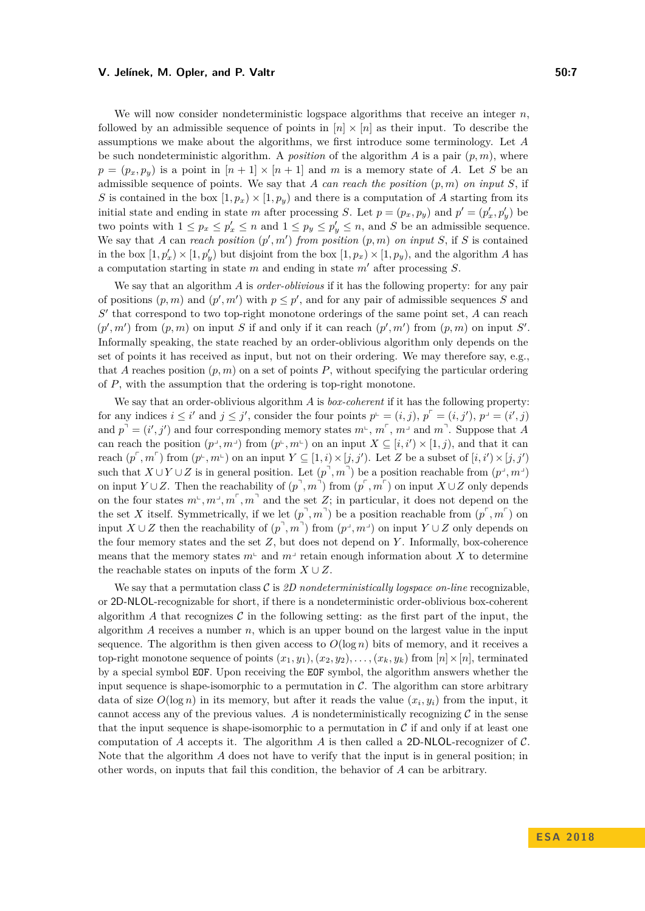We will now consider nondeterministic logspace algorithms that receive an integer *n*, followed by an admissible sequence of points in  $[n] \times [n]$  as their input. To describe the assumptions we make about the algorithms, we first introduce some terminology. Let *A* be such nondeterministic algorithm. A *position* of the algorithm  $A$  is a pair  $(p, m)$ , where  $p = (p_x, p_y)$  is a point in  $[n+1] \times [n+1]$  and *m* is a memory state of *A*. Let *S* be an admissible sequence of points. We say that *A can reach the position* (*p, m*) *on input S*, if *S* is contained in the box  $[1, p_x) \times [1, p_y)$  and there is a computation of *A* starting from its initial state and ending in state *m* after processing *S*. Let  $p = (p_x, p_y)$  and  $p' = (p'_x, p'_y)$  be two points with  $1 \leq p_x \leq p'_x \leq n$  and  $1 \leq p_y \leq p'_y \leq n$ , and *S* be an admissible sequence. We say that *A* can *reach position*  $(p', m')$  *from position*  $(p, m)$  *on input S*, if *S* is contained in the box  $[1, p'_x] \times [1, p'_y)$  but disjoint from the box  $[1, p_x] \times [1, p_y)$ , and the algorithm *A* has a computation starting in state  $m$  and ending in state  $m'$  after processing  $S$ .

We say that an algorithm *A* is *order-oblivious* if it has the following property: for any pair of positions  $(p, m)$  and  $(p', m')$  with  $p \leq p'$ , and for any pair of admissible sequences *S* and  $S'$  that correspond to two top-right monotone orderings of the same point set,  $A$  can reach  $(p', m')$  from  $(p, m)$  on input *S* if and only if it can reach  $(p', m')$  from  $(p, m)$  on input *S'*. Informally speaking, the state reached by an order-oblivious algorithm only depends on the set of points it has received as input, but not on their ordering. We may therefore say, e.g., that *A* reaches position  $(p, m)$  on a set of points *P*, without specifying the particular ordering of *P*, with the assumption that the ordering is top-right monotone.

We say that an order-oblivious algorithm *A* is *box-coherent* if it has the following property: for any indices  $i \leq i'$  and  $j \leq j'$ , consider the four points  $p^{\perp} = (i, j)$ ,  $p^{\perp} = (i, j')$ ,  $p^{\perp} = (i', j)$ and  $p^{\text{d}} = (i', j')$  and four corresponding memory states  $m^{\text{d}}$ ,  $m^{\text{d}}$ ,  $m^{\text{d}}$  and  $m^{\text{d}}$ . Suppose that *A* can reach the position  $(p^{\perp}, m^{\perp})$  from  $(p^{\perp}, m^{\perp})$  on an input  $X \subseteq [i, i') \times [1, j)$ , and that it can reach  $(p^{\text{c}}, m^{\text{c}})$  from  $(p^{\text{c}}, m^{\text{c}})$  on an input  $Y \subseteq [1, i) \times [j, j')$ . Let *Z* be a subset of  $[i, i') \times [j, j')$ such that  $X \cup Y \cup Z$  is in general position. Let  $(p^{\top}, m^{\top})$  be a position reachable from  $(p^{\bot}, m^{\bot})$ on input *Y* ∪ *Z*. Then the reachability of  $(p^{\top}, m^{\top})$  from  $(p^{\top}, m^{\top})$  on input  $X \cup Z$  only depends on the four states  $m^{\text{L}}, m^{\text{J}}, m^{\text{T}}$ ,  $m^{\text{T}}$  and the set *Z*; in particular, it does not depend on the the set *X* itself. Symmetrically, if we let  $(p^1, m^1)$  be a position reachable from  $(p^r, m^r)$  on input  $X \cup Z$  then the reachability of  $(p^{\top}, m^{\top})$  from  $(p^{\bot}, m^{\bot})$  on input  $Y \cup Z$  only depends on the four memory states and the set *Z*, but does not depend on *Y* . Informally, box-coherence means that the memory states  $m<sup>2</sup>$  and  $m<sup>3</sup>$  retain enough information about *X* to determine the reachable states on inputs of the form  $X \cup Z$ .

We say that a permutation class  $\mathcal C$  is  $\mathcal D$  *nondeterministically logspace on-line* recognizable, or 2D-NLOL-recognizable for short, if there is a nondeterministic order-oblivious box-coherent algorithm A that recognizes  $\mathcal C$  in the following setting: as the first part of the input, the algorithm *A* receives a number *n*, which is an upper bound on the largest value in the input sequence. The algorithm is then given access to  $O(\log n)$  bits of memory, and it receives a top-right monotone sequence of points  $(x_1, y_1), (x_2, y_2), \ldots, (x_k, y_k)$  from  $[n] \times [n]$ , terminated by a special symbol EOF. Upon receiving the EOF symbol, the algorithm answers whether the input sequence is shape-isomorphic to a permutation in  $\mathcal{C}$ . The algorithm can store arbitrary data of size  $O(\log n)$  in its memory, but after it reads the value  $(x_i, y_i)$  from the input, it cannot access any of the previous values.  $A$  is nondeterministically recognizing  $C$  in the sense that the input sequence is shape-isomorphic to a permutation in  $\mathcal C$  if and only if at least one computation of *A* accepts it. The algorithm *A* is then called a 2D-NLOL-recognizer of  $\mathcal{C}$ . Note that the algorithm *A* does not have to verify that the input is in general position; in other words, on inputs that fail this condition, the behavior of *A* can be arbitrary.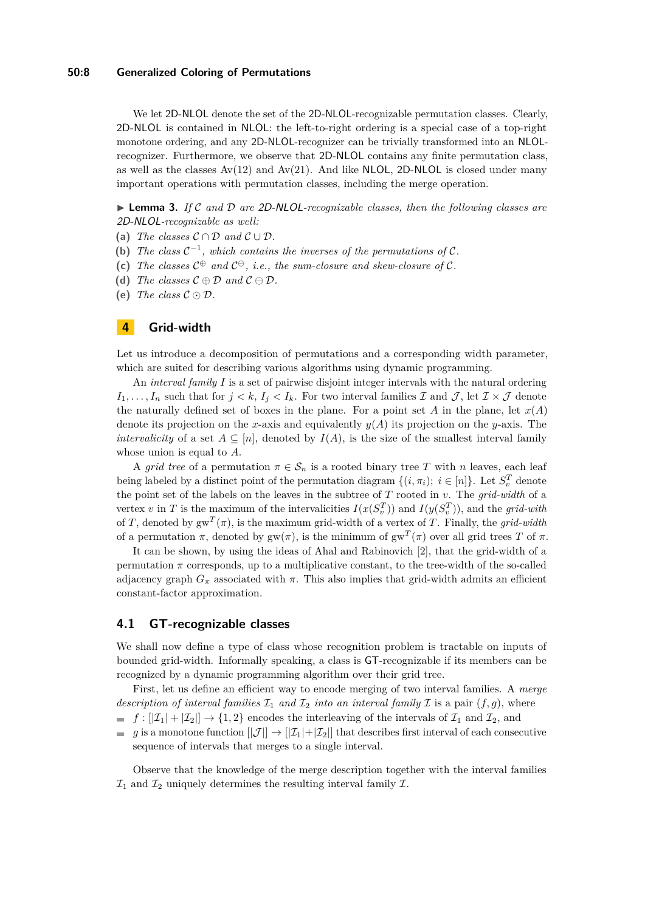#### **50:8 Generalized Coloring of Permutations**

We let 2D-NLOL denote the set of the 2D-NLOL-recognizable permutation classes. Clearly, 2D-NLOL is contained in NLOL: the left-to-right ordering is a special case of a top-right monotone ordering, and any 2D-NLOL-recognizer can be trivially transformed into an NLOLrecognizer. Furthermore, we observe that 2D-NLOL contains any finite permutation class, as well as the classes  $Av(12)$  and  $Av(21)$ . And like NLOL, 2D-NLOL is closed under many important operations with permutation classes, including the merge operation.

▶ **Lemma 3.** *If* C and D are 2D-NLOL-recognizable classes, then the following classes are 2D-NLOL*-recognizable as well:*

- (a) *The classes*  $C \cap D$  *and*  $C \cup D$ *.*
- (b) The class  $C^{-1}$ , which contains the inverses of the permutations of C.
- (c) The classes  $C^{\oplus}$  and  $C^{\ominus}$ , *i.e.*, the sum-closure and skew-closure of C.
- **(d)** *The classes*  $C \oplus D$  *and*  $C \ominus D$ *.*
- (e) *The class*  $C \odot D$ *.*

## <span id="page-7-0"></span>**4 Grid-width**

Let us introduce a decomposition of permutations and a corresponding width parameter, which are suited for describing various algorithms using dynamic programming.

An *interval family I* is a set of pairwise disjoint integer intervals with the natural ordering  $I_1, \ldots, I_n$  such that for  $j < k$ ,  $I_j < I_k$ . For two interval families  $\mathcal I$  and  $\mathcal J$ , let  $\mathcal I \times \mathcal J$  denote the naturally defined set of boxes in the plane. For a point set *A* in the plane, let  $x(A)$ denote its projection on the *x*-axis and equivalently *y*(*A*) its projection on the *y*-axis. The *intervalicity* of a set  $A \subseteq [n]$ , denoted by  $I(A)$ , is the size of the smallest interval family whose union is equal to *A*.

A *grid tree* of a permutation  $\pi \in S_n$  is a rooted binary tree T with *n* leaves, each leaf being labeled by a distinct point of the permutation diagram  $\{(i, \pi_i); i \in [n]\}$ . Let  $S_v^T$  denote the point set of the labels on the leaves in the subtree of *T* rooted in *v*. The *grid-width* of a vertex *v* in *T* is the maximum of the intervalicities  $I(x(S_v^T))$  and  $I(y(S_v^T))$ , and the *grid-with* of *T*, denoted by  $gw^T(\pi)$ , is the maximum grid-width of a vertex of *T*. Finally, the *grid-width* of a permutation  $\pi$ , denoted by gw( $\pi$ ), is the minimum of gw<sup>T</sup>( $\pi$ ) over all grid trees T of  $\pi$ .

It can be shown, by using the ideas of Ahal and Rabinovich [\[2\]](#page-12-8), that the grid-width of a permutation  $\pi$  corresponds, up to a multiplicative constant, to the tree-width of the so-called adjacency graph  $G_{\pi}$  associated with  $\pi$ . This also implies that grid-width admits an efficient constant-factor approximation.

## **4.1 GT-recognizable classes**

We shall now define a type of class whose recognition problem is tractable on inputs of bounded grid-width. Informally speaking, a class is GT-recognizable if its members can be recognized by a dynamic programming algorithm over their grid tree.

First, let us define an efficient way to encode merging of two interval families. A *merge description of interval families*  $\mathcal{I}_1$  *and*  $\mathcal{I}_2$  *into an interval family*  $\mathcal{I}$  is a pair  $(f, g)$ , where

 $f: |Z_1| + |Z_2| \rightarrow \{1,2\}$  encodes the interleaving of the intervals of  $\mathcal{I}_1$  and  $\mathcal{I}_2$ , and

*g* is a monotone function  $||\mathcal{J}|| \to ||\mathcal{I}_1|| + |\mathcal{I}_2||$  that describes first interval of each consecutive sequence of intervals that merges to a single interval.

Observe that the knowledge of the merge description together with the interval families  $\mathcal{I}_1$  and  $\mathcal{I}_2$  uniquely determines the resulting interval family  $\mathcal{I}$ .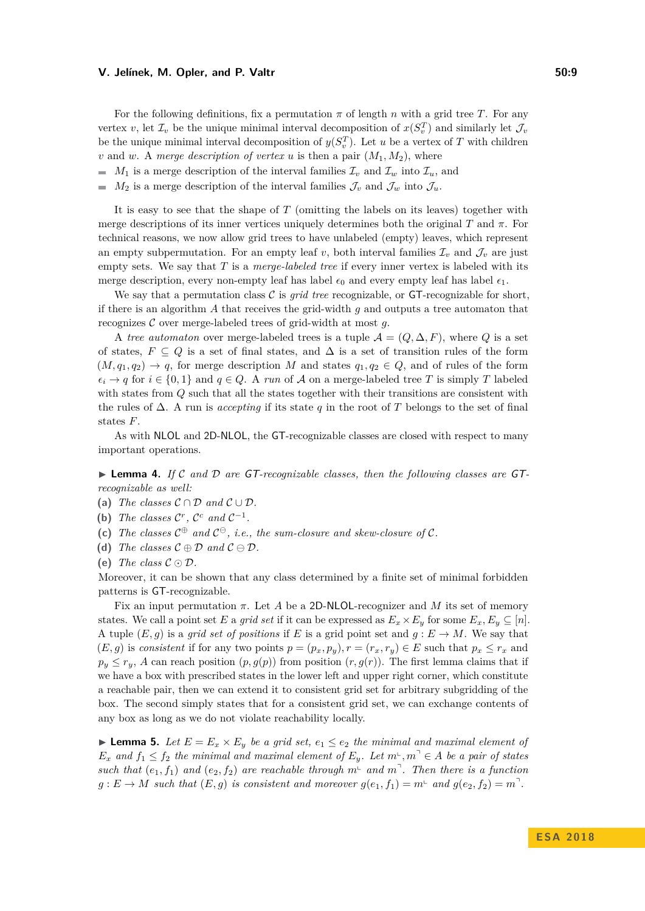For the following definitions, fix a permutation  $\pi$  of length  $n$  with a grid tree  $T$ . For any vertex *v*, let  $\mathcal{I}_v$  be the unique minimal interval decomposition of  $x(S_v^T)$  and similarly let  $\mathcal{J}_v$ be the unique minimal interval decomposition of  $y(S_v^T)$ . Let *u* be a vertex of *T* with children *v* and *w*. A *merge description of vertex u* is then a pair  $(M_1, M_2)$ , where

- *M*<sub>1</sub> is a merge description of the interval families  $\mathcal{I}_v$  and  $\mathcal{I}_w$  into  $\mathcal{I}_u$ , and
- *M*<sub>2</sub> is a merge description of the interval families  $\mathcal{J}_v$  and  $\mathcal{J}_w$  into  $\mathcal{J}_u$ .

It is easy to see that the shape of *T* (omitting the labels on its leaves) together with merge descriptions of its inner vertices uniquely determines both the original *T* and  $\pi$ . For technical reasons, we now allow grid trees to have unlabeled (empty) leaves, which represent an empty subpermutation. For an empty leaf v, both interval families  $\mathcal{I}_v$  and  $\mathcal{J}_v$  are just empty sets. We say that *T* is a *merge-labeled tree* if every inner vertex is labeled with its merge description, every non-empty leaf has label  $\epsilon_0$  and every empty leaf has label  $\epsilon_1$ .

We say that a permutation class  $\mathcal C$  is *grid tree* recognizable, or  $GT$ -recognizable for short, if there is an algorithm *A* that receives the grid-width *g* and outputs a tree automaton that recognizes C over merge-labeled trees of grid-width at most *g*.

A *tree automaton* over merge-labeled trees is a tuple  $A = (Q, \Delta, F)$ , where Q is a set of states,  $F \subseteq Q$  is a set of final states, and  $\Delta$  is a set of transition rules of the form  $(M, q_1, q_2) \rightarrow q$ , for merge description *M* and states  $q_1, q_2 \in Q$ , and of rules of the form  $\epsilon_i \rightarrow q$  for  $i \in \{0,1\}$  and  $q \in Q$ . A *run* of A on a merge-labeled tree T is simply T labeled with states from *Q* such that all the states together with their transitions are consistent with the rules of ∆. A run is *accepting* if its state *q* in the root of *T* belongs to the set of final states *F*.

As with NLOL and 2D-NLOL, the GT-recognizable classes are closed with respect to many important operations.

► Lemma 4. If C and D are GT-recognizable classes, then the following classes are GT*recognizable as well:*

- (a) *The classes*  $C \cap D$  *and*  $C \cup D$ *.*
- (b) The classes  $\mathcal{C}^r$ ,  $\mathcal{C}^c$  and  $\mathcal{C}^{-1}$ *.*
- (c) The classes  $C^{\oplus}$  and  $C^{\ominus}$ , *i.e.*, the sum-closure and skew-closure of C.
- **(d)** *The classes*  $C \oplus D$  *and*  $C \ominus D$ *.*

Moreover, it can be shown that any class determined by a finite set of minimal forbidden patterns is GT-recognizable.

Fix an input permutation *π*. Let *A* be a 2D-NLOL-recognizer and *M* its set of memory states. We call a point set *E* a *grid set* if it can be expressed as  $E_x \times E_y$  for some  $E_x, E_y \subseteq [n]$ . A tuple  $(E, g)$  is a *grid set of positions* if *E* is a grid point set and  $g : E \to M$ . We say that  $(E, g)$  is *consistent* if for any two points  $p = (p_x, p_y), r = (r_x, r_y) \in E$  such that  $p_x \le r_x$  and  $p_y \leq r_y$ , *A* can reach position  $(p, g(p))$  from position  $(r, g(r))$ . The first lemma claims that if we have a box with prescribed states in the lower left and upper right corner, which constitute a reachable pair, then we can extend it to consistent grid set for arbitrary subgridding of the box. The second simply states that for a consistent grid set, we can exchange contents of any box as long as we do not violate reachability locally.

<span id="page-8-0"></span>▶ **Lemma 5.** *Let*  $E = E_x \times E_y$  *be a grid set,*  $e_1 \le e_2$  *the minimal and maximal element of*  $E_x$  *and*  $f_1 \leq f_2$  *the minimal and maximal element of*  $E_y$ *. Let*  $m^{\perp}, m^{\perp} \in A$  *be a pair of states such that*  $(e_1, f_1)$  *and*  $(e_2, f_2)$  *are reachable through*  $m^{\perp}$  *and*  $m^{\perp}$ . *Then there is a function*  $g: E \to M$  such that  $(E, g)$  is consistent and moreover  $g(e_1, f_1) = m^{\perp}$  and  $g(e_2, f_2) = m^{\perp}$ .

<sup>(</sup>e) *The class*  $C \odot D$ *.*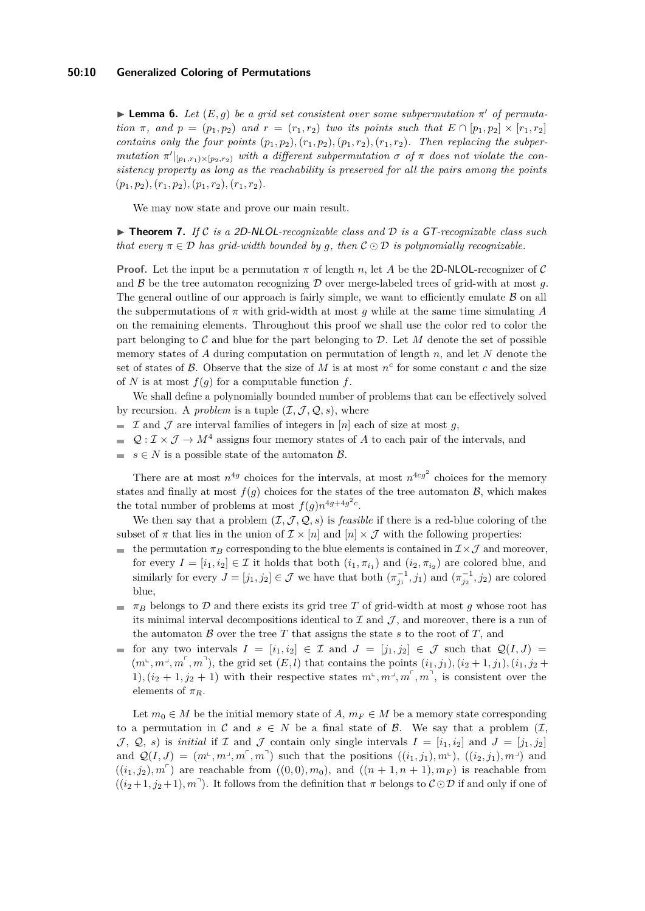#### **50:10 Generalized Coloring of Permutations**

<span id="page-9-0"></span>**Lemma 6.** *Let*  $(E, g)$  *be a grid set consistent over some subpermutation*  $\pi'$  *of permutation*  $\pi$ *, and*  $p = (p_1, p_2)$  *and*  $r = (r_1, r_2)$  *two its points such that*  $E \cap [p_1, p_2] \times [r_1, r_2]$ *contains only the four points*  $(p_1, p_2), (r_1, p_2), (p_1, r_2), (r_1, r_2)$ *. Then replacing the subper* $mutation \tau'|_{[p_1,r_1)\times [p_2,r_2)}$  *with a different subpermutation*  $\sigma$  *of*  $\pi$  *does not violate the consistency property as long as the reachability is preserved for all the pairs among the points* (*p*1*, p*2)*,*(*r*1*, p*2)*,*(*p*1*, r*2)*,*(*r*1*, r*2)*.*

We may now state and prove our main result.

▶ **Theorem 7.** *If* C *is a 2D-NLOL-recognizable class and*  $D$  *is a GT-recognizable class such that every*  $\pi \in \mathcal{D}$  *has grid-width bounded by q, then*  $\mathcal{C} \odot \mathcal{D}$  *is polynomially recognizable.* 

**Proof.** Let the input be a permutation *π* of length *n*, let *A* be the 2D-NLOL-recognizer of C and  $\beta$  be the tree automaton recognizing  $\mathcal D$  over merge-labeled trees of grid-with at most g. The general outline of our approach is fairly simple, we want to efficiently emulate  $\beta$  on all the subpermutations of *π* with grid-width at most *g* while at the same time simulating *A* on the remaining elements. Throughout this proof we shall use the color red to color the part belonging to  $\mathcal C$  and blue for the part belonging to  $\mathcal D$ . Let M denote the set of possible memory states of *A* during computation on permutation of length *n*, and let *N* denote the set of states of  $\beta$ . Observe that the size of  $M$  is at most  $n^c$  for some constant  $c$  and the size of *N* is at most  $f(q)$  for a computable function  $f$ .

We shall define a polynomially bounded number of problems that can be effectively solved by recursion. A *problem* is a tuple  $(\mathcal{I}, \mathcal{J}, \mathcal{Q}, s)$ , where

- $\mathcal I$  and  $\mathcal J$  are interval families of integers in [*n*] each of size at most *q*,
- $\mathcal{Q}: \mathcal{I} \times \mathcal{J} \to M^4$  assigns four memory states of A to each pair of the intervals, and  $\sim$
- $s \in N$  is a possible state of the automaton  $\beta$ .

There are at most  $n^{4g}$  choices for the intervals, at most  $n^{4cg^2}$  choices for the memory states and finally at most  $f(q)$  choices for the states of the tree automaton  $\mathcal{B}$ , which makes the total number of problems at most  $f(g)n^{4g+4g^2c}$ .

We then say that a problem  $(\mathcal{I}, \mathcal{J}, \mathcal{Q}, s)$  is *feasible* if there is a red-blue coloring of the subset of  $\pi$  that lies in the union of  $\mathcal{I} \times [n]$  and  $[n] \times \mathcal{J}$  with the following properties:

- the permutation  $\pi_B$  corresponding to the blue elements is contained in  $\mathcal{I}\times\mathcal{J}$  and moreover, for every  $I = [i_1, i_2] \in \mathcal{I}$  it holds that both  $(i_1, \pi_{i_1})$  and  $(i_2, \pi_{i_2})$  are colored blue, and similarly for every  $J = [j_1, j_2] \in \mathcal{J}$  we have that both  $(\pi_{j_1}^{-1}, j_1)$  and  $(\pi_{j_2}^{-1}, j_2)$  are colored blue,
- $\pi_B$  belongs to  $\mathcal D$  and there exists its grid tree *T* of grid-width at most *g* whose root has its minimal interval decompositions identical to  $\mathcal I$  and  $\mathcal J$ , and moreover, there is a run of the automaton  $\beta$  over the tree  $T$  that assigns the state  $s$  to the root of  $T$ , and
- for any two intervals  $I = [i_1, i_2] \in \mathcal{I}$  and  $J = [j_1, j_2] \in \mathcal{J}$  such that  $\mathcal{Q}(I, J) =$  $(m^{\perp}, m^{\perp}, m^{\perp}, m^{\perp})$ , the grid set  $(E, l)$  that contains the points  $(i_1, j_1), (i_2 + 1, j_1), (i_1, j_2 + 1)$ 1),  $(i_2 + 1, j_2 + 1)$  with their respective states  $m^{\text{L}}, m^{\text{J}}, m^{\text{T}}, m^{\text{T}}$ , is consistent over the elements of  $\pi_R$ .

Let  $m_0 \in M$  be the initial memory state of *A*,  $m_F \in M$  be a memory state corresponding to a permutation in C and  $s \in N$  be a final state of B. We say that a problem  $(\mathcal{I},$  $\mathcal{J}, \mathcal{Q}, s$  is *initial* if  $\mathcal{I}$  and  $\mathcal{J}$  contain only single intervals  $I = [i_1, i_2]$  and  $J = [j_1, j_2]$ and  $\mathcal{Q}(I, J) = (m^{\text{L}}, m^{\text{J}}, m^{\text{T}}, m^{\text{T}})$  such that the positions  $((i_1, j_1), m^{\text{L}}), ((i_2, j_1), m^{\text{J}})$  and  $((i_1, j_2), m^{\nabla})$  are reachable from  $((0, 0), m_0)$ , and  $((n + 1, n + 1), m_F)$  is reachable from  $((i_2+1, j_2+1), m$ <sup>-</sup>). It follows from the definition that  $\pi$  belongs to  $\mathcal{C} \odot \mathcal{D}$  if and only if one of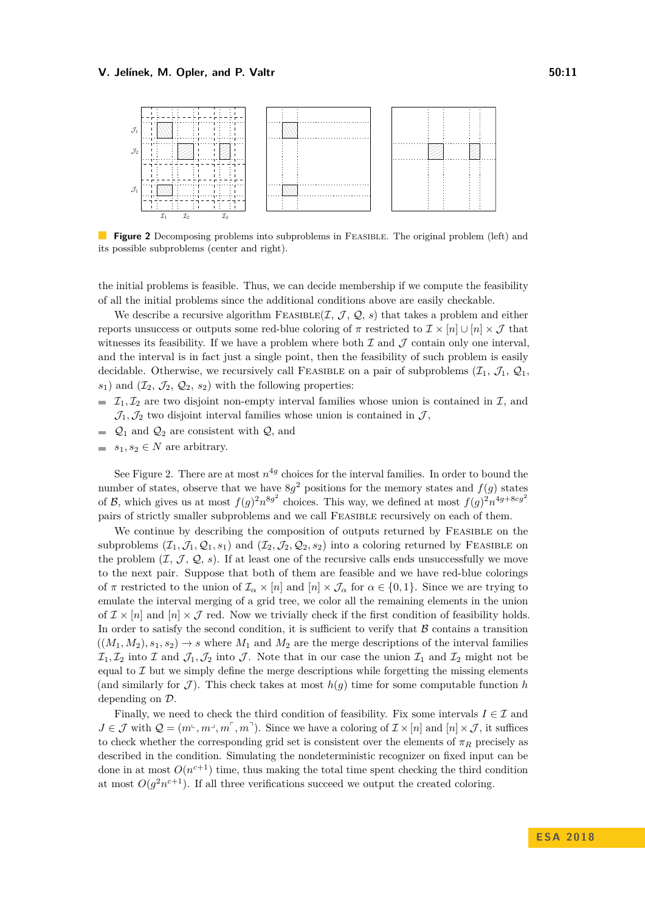<span id="page-10-0"></span>

**Figure 2** Decomposing problems into subproblems in FEASIBLE. The original problem (left) and its possible subproblems (center and right).

the initial problems is feasible. Thus, we can decide membership if we compute the feasibility of all the initial problems since the additional conditions above are easily checkable.

We describe a recursive algorithm FEASIBLE $(\mathcal{I}, \mathcal{J}, \mathcal{Q}, s)$  that takes a problem and either reports unsuccess or outputs some red-blue coloring of  $\pi$  restricted to  $\mathcal{I} \times [n] \cup [n] \times \mathcal{J}$  that witnesses its feasibility. If we have a problem where both  $\mathcal I$  and  $\mathcal J$  contain only one interval. and the interval is in fact just a single point, then the feasibility of such problem is easily decidable. Otherwise, we recursively call FEASIBLE on a pair of subproblems  $(\mathcal{I}_1, \mathcal{J}_1, \mathcal{Q}_1,$  $s_1$ ) and  $(\mathcal{I}_2, \mathcal{J}_2, \mathcal{Q}_2, s_2)$  with the following properties:

- $\mathcal{I}_1, \mathcal{I}_2$  are two disjoint non-empty interval families whose union is contained in  $\mathcal{I}$ , and  $\mathcal{J}_1, \mathcal{J}_2$  two disjoint interval families whose union is contained in  $\mathcal{J}$ ,
- $\Box$   $\mathcal{Q}_1$  and  $\mathcal{Q}_2$  are consistent with  $\mathcal{Q}_2$ , and
- $s_1, s_2 \in N$  are arbitrary.

See Figure [2.](#page-10-0) There are at most  $n^{4g}$  choices for the interval families. In order to bound the number of states, observe that we have  $8g^2$  positions for the memory states and  $f(g)$  states of B, which gives us at most  $f(g)^2 n^{8g^2}$  choices. This way, we defined at most  $f(g)^2 n^{4g+8cg^2}$ pairs of strictly smaller subproblems and we call Feasible recursively on each of them.

We continue by describing the composition of outputs returned by FEASIBLE on the subproblems  $(\mathcal{I}_1, \mathcal{I}_1, \mathcal{Q}_1, s_1)$  and  $(\mathcal{I}_2, \mathcal{I}_2, \mathcal{Q}_2, s_2)$  into a coloring returned by FEASIBLE on the problem  $(\mathcal{I}, \mathcal{J}, \mathcal{Q}, s)$ . If at least one of the recursive calls ends unsuccessfully we move to the next pair. Suppose that both of them are feasible and we have red-blue colorings of  $\pi$  restricted to the union of  $\mathcal{I}_{\alpha} \times [n]$  and  $[n] \times \mathcal{I}_{\alpha}$  for  $\alpha \in \{0,1\}$ . Since we are trying to emulate the interval merging of a grid tree, we color all the remaining elements in the union of  $\mathcal{I} \times [n]$  and  $[n] \times \mathcal{J}$  red. Now we trivially check if the first condition of feasibility holds. In order to satisfy the second condition, it is sufficient to verify that  $\beta$  contains a transition  $((M_1, M_2), s_1, s_2) \rightarrow s$  where  $M_1$  and  $M_2$  are the merge descriptions of the interval families  $\mathcal{I}_1, \mathcal{I}_2$  into  $\mathcal{I}$  and  $\mathcal{J}_1, \mathcal{J}_2$  into  $\mathcal{J}$ . Note that in our case the union  $\mathcal{I}_1$  and  $\mathcal{I}_2$  might not be equal to  $\mathcal I$  but we simply define the merge descriptions while forgetting the missing elements (and similarly for  $\mathcal{J}$ ). This check takes at most  $h(g)$  time for some computable function h depending on D.

Finally, we need to check the third condition of feasibility. Fix some intervals  $I \in \mathcal{I}$  and  $J \in \mathcal{J}$  with  $\mathcal{Q} = (m^{\perp}, m^{\perp}, m^{\uparrow}, m^{\uparrow})$ . Since we have a coloring of  $\mathcal{I} \times [n]$  and  $[n] \times \mathcal{J}$ , it suffices to check whether the corresponding grid set is consistent over the elements of  $\pi_R$  precisely as described in the condition. Simulating the nondeterministic recognizer on fixed input can be done in at most  $O(n^{c+1})$  time, thus making the total time spent checking the third condition at most  $O(g^2n^{c+1})$ . If all three verifications succeed we output the created coloring.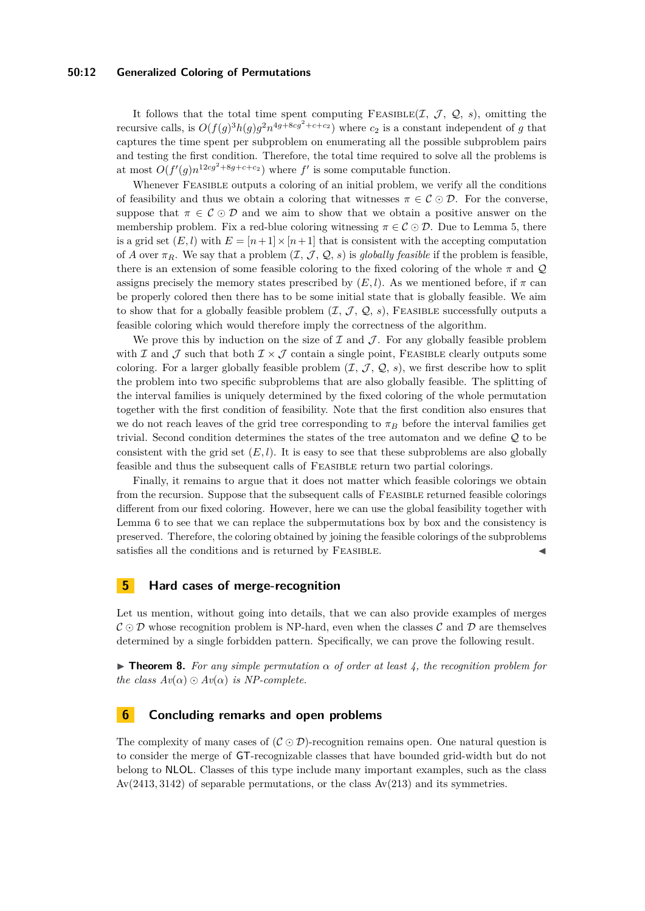#### **50:12 Generalized Coloring of Permutations**

It follows that the total time spent computing FEASIBLE(I,  $J$ ,  $Q$ , *s*), omitting the recursive calls, is  $O(f(g)^3 h(g) g^2 n^{4g+8cg^2+c+c_2})$  where  $c_2$  is a constant independent of *g* that captures the time spent per subproblem on enumerating all the possible subproblem pairs and testing the first condition. Therefore, the total time required to solve all the problems is at most  $O(f'(g)n^{12cg^2+8g+c+c_2})$  where  $f'$  is some computable function.

Whenever FEASIBLE outputs a coloring of an initial problem, we verify all the conditions of feasibility and thus we obtain a coloring that witnesses  $\pi \in \mathcal{C} \odot \mathcal{D}$ . For the converse, suppose that  $\pi \in \mathcal{C} \odot \mathcal{D}$  and we aim to show that we obtain a positive answer on the membership problem. Fix a red-blue coloring witnessing  $\pi \in \mathcal{C} \odot \mathcal{D}$ . Due to Lemma [5,](#page-8-0) there is a grid set  $(E, l)$  with  $E = [n+1] \times [n+1]$  that is consistent with the accepting computation of *A* over  $\pi_R$ . We say that a problem  $(\mathcal{I}, \mathcal{J}, \mathcal{Q}, s)$  is *globally feasible* if the problem is feasible, there is an extension of some feasible coloring to the fixed coloring of the whole  $\pi$  and  $\mathcal Q$ assigns precisely the memory states prescribed by  $(E, l)$ . As we mentioned before, if  $\pi$  can be properly colored then there has to be some initial state that is globally feasible. We aim to show that for a globally feasible problem  $(\mathcal{I}, \mathcal{J}, \mathcal{Q}, s)$ , FEASIBLE successfully outputs a feasible coloring which would therefore imply the correctness of the algorithm.

We prove this by induction on the size of  $\mathcal I$  and  $\mathcal J$ . For any globally feasible problem with I and J such that both  $\mathcal{I} \times \mathcal{J}$  contain a single point, FEASIBLE clearly outputs some coloring. For a larger globally feasible problem  $(\mathcal{I}, \mathcal{J}, \mathcal{Q}, s)$ , we first describe how to split the problem into two specific subproblems that are also globally feasible. The splitting of the interval families is uniquely determined by the fixed coloring of the whole permutation together with the first condition of feasibility. Note that the first condition also ensures that we do not reach leaves of the grid tree corresponding to  $\pi_B$  before the interval families get trivial. Second condition determines the states of the tree automaton and we define Q to be consistent with the grid set  $(E, l)$ . It is easy to see that these subproblems are also globally feasible and thus the subsequent calls of Feasible return two partial colorings.

Finally, it remains to argue that it does not matter which feasible colorings we obtain from the recursion. Suppose that the subsequent calls of FEASIBLE returned feasible colorings different from our fixed coloring. However, here we can use the global feasibility together with Lemma [6](#page-9-0) to see that we can replace the subpermutations box by box and the consistency is preserved. Therefore, the coloring obtained by joining the feasible colorings of the subproblems satisfies all the conditions and is returned by FEASIBLE.

## <span id="page-11-0"></span>**5 Hard cases of merge-recognition**

Let us mention, without going into details, that we can also provide examples of merges  $\mathcal{C} \odot \mathcal{D}$  whose recognition problem is NP-hard, even when the classes  $\mathcal{C}$  and  $\mathcal{D}$  are themselves determined by a single forbidden pattern. Specifically, we can prove the following result.

**Figure 12.** *For any simple permutation*  $\alpha$  *of order at least 4, the recognition problem for the class*  $Av(\alpha) \odot Av(\alpha)$  *is NP-complete.* 

## **6 Concluding remarks and open problems**

The complexity of many cases of  $(C \odot D)$ -recognition remains open. One natural question is to consider the merge of GT-recognizable classes that have bounded grid-width but do not belong to NLOL. Classes of this type include many important examples, such as the class Av(2413*,* 3142) of separable permutations, or the class Av(213) and its symmetries.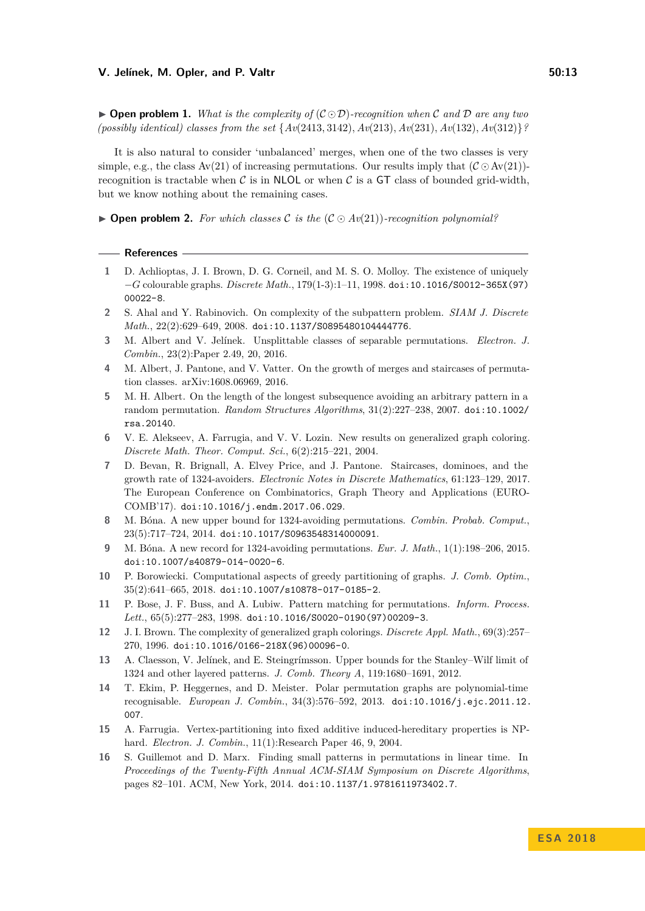$\triangleright$  **Open problem 1.** *What is the complexity of*  $(C \odot D)$ *-recognition when* C and D are any two *(possibly identical) classes from the set* {*Av*(2413*,* 3142)*, Av*(213)*, Av*(231)*, Av*(132)*, Av*(312)}*?*

It is also natural to consider 'unbalanced' merges, when one of the two classes is very simple, e.g., the class  $Av(21)$  of increasing permutations. Our results imply that  $(C \odot Av(21))$ recognition is tractable when  $\mathcal C$  is in NLOL or when  $\mathcal C$  is a GT class of bounded grid-width, but we know nothing about the remaining cases.

 $\triangleright$  **Open problem 2.** For which classes C is the  $(C \odot Av(21))$ -recognition polynomial?

#### **References**

- <span id="page-12-13"></span>**1** D. Achlioptas, J. I. Brown, D. G. Corneil, and M. S. O. Molloy. The existence of uniquely −*G* colourable graphs. *Discrete Math.*, 179(1-3):1–11, 1998. [doi:10.1016/S0012-365X\(97\)](http://dx.doi.org/10.1016/S0012-365X(97)00022-8) [00022-8](http://dx.doi.org/10.1016/S0012-365X(97)00022-8).
- <span id="page-12-8"></span>**2** S. Ahal and Y. Rabinovich. On complexity of the subpattern problem. *SIAM J. Discrete Math.*, 22(2):629–649, 2008. [doi:10.1137/S0895480104444776](http://dx.doi.org/10.1137/S0895480104444776).
- <span id="page-12-6"></span>**3** M. Albert and V. Jelínek. Unsplittable classes of separable permutations. *Electron. J. Combin.*, 23(2):Paper 2.49, 20, 2016.
- <span id="page-12-1"></span>**4** M. Albert, J. Pantone, and V. Vatter. On the growth of merges and staircases of permutation classes. arXiv:1608.06969, 2016.
- <span id="page-12-0"></span>**5** M. H. Albert. On the length of the longest subsequence avoiding an arbitrary pattern in a random permutation. *Random Structures Algorithms*, 31(2):227–238, 2007. [doi:10.1002/](http://dx.doi.org/10.1002/rsa.20140) [rsa.20140](http://dx.doi.org/10.1002/rsa.20140).
- <span id="page-12-12"></span>**6** V. E. Alekseev, A. Farrugia, and V. V. Lozin. New results on generalized graph coloring. *Discrete Math. Theor. Comput. Sci.*, 6(2):215–221, 2004.
- <span id="page-12-5"></span>**7** D. Bevan, R. Brignall, A. Elvey Price, and J. Pantone. Staircases, dominoes, and the growth rate of 1324-avoiders. *Electronic Notes in Discrete Mathematics*, 61:123–129, 2017. The European Conference on Combinatorics, Graph Theory and Applications (EURO-COMB'17). [doi:10.1016/j.endm.2017.06.029](http://dx.doi.org/10.1016/j.endm.2017.06.029).
- <span id="page-12-3"></span>**8** M. Bóna. A new upper bound for 1324-avoiding permutations. *Combin. Probab. Comput.*, 23(5):717–724, 2014. [doi:10.1017/S0963548314000091](http://dx.doi.org/10.1017/S0963548314000091).
- <span id="page-12-4"></span>**9** M. Bóna. A new record for 1324-avoiding permutations. *Eur. J. Math.*, 1(1):198–206, 2015. [doi:10.1007/s40879-014-0020-6](http://dx.doi.org/10.1007/s40879-014-0020-6).
- <span id="page-12-14"></span>**10** P. Borowiecki. Computational aspects of greedy partitioning of graphs. *J. Comb. Optim.*, 35(2):641–665, 2018. [doi:10.1007/s10878-017-0185-2](http://dx.doi.org/10.1007/s10878-017-0185-2).
- <span id="page-12-7"></span>**11** P. Bose, J. F. Buss, and A. Lubiw. Pattern matching for permutations. *Inform. Process. Lett.*, 65(5):277–283, 1998. [doi:10.1016/S0020-0190\(97\)00209-3](http://dx.doi.org/10.1016/S0020-0190(97)00209-3).
- <span id="page-12-11"></span>**12** J. I. Brown. The complexity of generalized graph colorings. *Discrete Appl. Math.*, 69(3):257– 270, 1996. [doi:10.1016/0166-218X\(96\)00096-0](http://dx.doi.org/10.1016/0166-218X(96)00096-0).
- <span id="page-12-2"></span>**13** A. Claesson, V. Jelínek, and E. Steingrímsson. Upper bounds for the Stanley–Wilf limit of 1324 and other layered patterns. *J. Comb. Theory A*, 119:1680–1691, 2012.
- <span id="page-12-15"></span>**14** T. Ekim, P. Heggernes, and D. Meister. Polar permutation graphs are polynomial-time recognisable. *European J. Combin.*, 34(3):576–592, 2013. [doi:10.1016/j.ejc.2011.12.](http://dx.doi.org/10.1016/j.ejc.2011.12.007) [007](http://dx.doi.org/10.1016/j.ejc.2011.12.007).
- <span id="page-12-10"></span>**15** A. Farrugia. Vertex-partitioning into fixed additive induced-hereditary properties is NPhard. *Electron. J. Combin.*, 11(1):Research Paper 46, 9, 2004.
- <span id="page-12-9"></span>**16** S. Guillemot and D. Marx. Finding small patterns in permutations in linear time. In *Proceedings of the Twenty-Fifth Annual ACM-SIAM Symposium on Discrete Algorithms*, pages 82–101. ACM, New York, 2014. [doi:10.1137/1.9781611973402.7](http://dx.doi.org/10.1137/1.9781611973402.7).